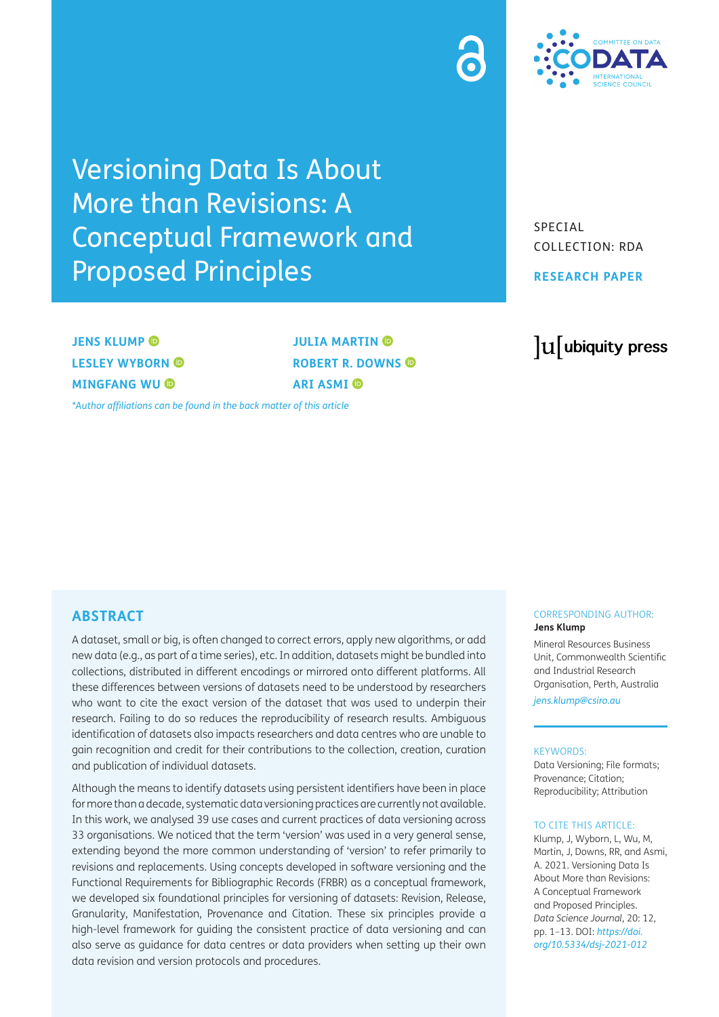# Versioning Data Is About More than Revisions: A Conceptual Framework and Proposed Principles

SPECIAL COLLECTION: RDA

**RESEARCH PAPER**

lu ubiquity press

**JENS KLUMP @ LESLEY WYBORN MINGFANG WU** 

**JULIA MARTIN O ROBERT R. DOWNS ARI ASMI** 

*[\\*Author affiliations can be found in the back matter of this article](#page-10-0)*

#### **ABSTRACT**

A dataset, small or big, is often changed to correct errors, apply new algorithms, or add new data (e.g., as part of a time series), etc. In addition, datasets might be bundled into collections, distributed in different encodings or mirrored onto different platforms. All these differences between versions of datasets need to be understood by researchers who want to cite the exact version of the dataset that was used to underpin their research. Failing to do so reduces the reproducibility of research results. Ambiguous identification of datasets also impacts researchers and data centres who are unable to gain recognition and credit for their contributions to the collection, creation, curation and publication of individual datasets.

Although the means to identify datasets using persistent identifiers have been in place for more than a decade, systematic data versioning practices are currently not available. In this work, we analysed 39 use cases and current practices of data versioning across 33 organisations. We noticed that the term 'version' was used in a very general sense, extending beyond the more common understanding of 'version' to refer primarily to revisions and replacements. Using concepts developed in software versioning and the Functional Requirements for Bibliographic Records (FRBR) as a conceptual framework, we developed six foundational principles for versioning of datasets: Revision, Release, Granularity, Manifestation, Provenance and Citation. These six principles provide a high-level framework for guiding the consistent practice of data versioning and can also serve as guidance for data centres or data providers when setting up their own data revision and version protocols and procedures.

#### CORRESPONDING AUTHOR: **Jens Klump**

Mineral Resources Business Unit, Commonwealth Scientific and Industrial Research Organisation, Perth, Australia

*[jens.klump@csiro.au](mailto:jens.klump@csiro.au)*

#### KEYWORDS:

Data Versioning; File formats; Provenance; Citation; Reproducibility; Attribution

#### TO CITE THIS ARTICLE:

Klump, J, Wyborn, L, Wu, M, Martin, J, Downs, RR, and Asmi, A. 2021. Versioning Data Is About More than Revisions: A Conceptual Framework and Proposed Principles. *Data Science Journal*, 20: 12, pp. 1–13. DOI: *[https://doi.](https://doi.org/10.5334/dsj-2021-012) [org/10.5334/dsj-2021-012](https://doi.org/10.5334/dsj-2021-012)*

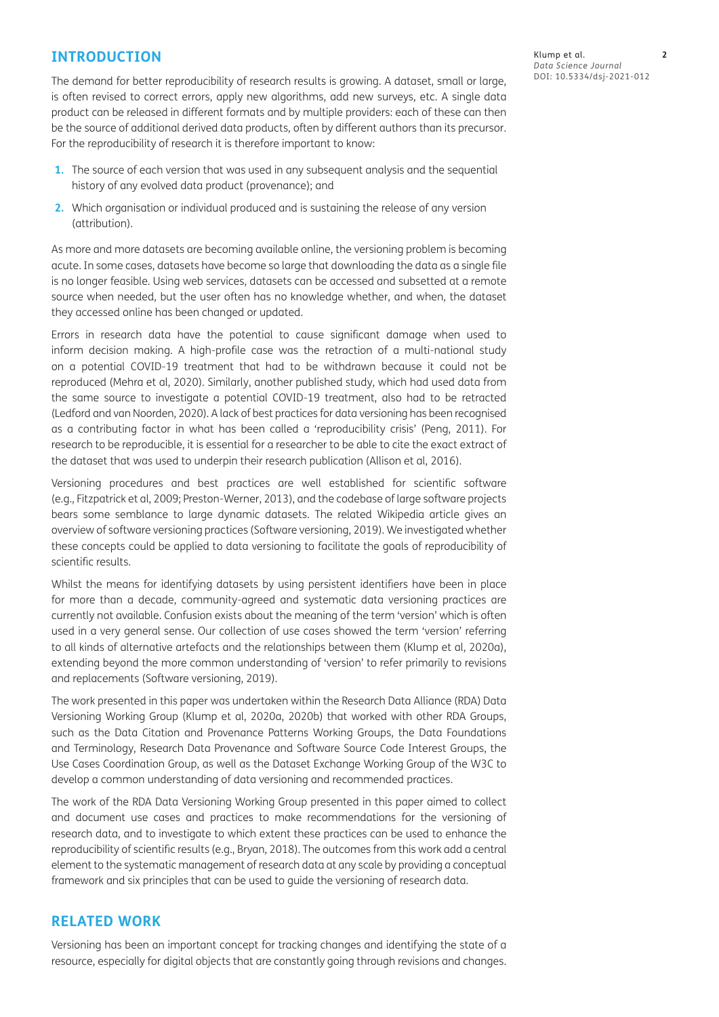#### **INTRODUCTION**

The demand for better reproducibility of research results is growing. A dataset, small or large, is often revised to correct errors, apply new algorithms, add new surveys, etc. A single data product can be released in different formats and by multiple providers: each of these can then be the source of additional derived data products, often by different authors than its precursor. For the reproducibility of research it is therefore important to know:

- **1.** The source of each version that was used in any subsequent analysis and the sequential history of any evolved data product (provenance); and
- **2.** Which organisation or individual produced and is sustaining the release of any version (attribution).

As more and more datasets are becoming available online, the versioning problem is becoming acute. In some cases, datasets have become so large that downloading the data as a single file is no longer feasible. Using web services, datasets can be accessed and subsetted at a remote source when needed, but the user often has no knowledge whether, and when, the dataset they accessed online has been changed or updated.

Errors in research data have the potential to cause significant damage when used to inform decision making. A high-profile case was the retraction of a multi-national study on a potential COVID-19 treatment that had to be withdrawn because it could not be reproduced (Mehra et al, 2020). Similarly, another published study, which had used data from the same source to investigate a potential COVID-19 treatment, also had to be retracted (Ledford and van Noorden, 2020). A lack of best practices for data versioning has been recognised as a contributing factor in what has been called a 'reproducibility crisis' (Peng, 2011). For research to be reproducible, it is essential for a researcher to be able to cite the exact extract of the dataset that was used to underpin their research publication (Allison et al, 2016).

Versioning procedures and best practices are well established for scientific software (e.g., Fitzpatrick et al, 2009; Preston-Werner, 2013), and the codebase of large software projects bears some semblance to large dynamic datasets. The related Wikipedia article gives an overview of software versioning practices (Software versioning, 2019). We investigated whether these concepts could be applied to data versioning to facilitate the goals of reproducibility of scientific results.

Whilst the means for identifying datasets by using persistent identifiers have been in place for more than a decade, community-agreed and systematic data versioning practices are currently not available. Confusion exists about the meaning of the term 'version' which is often used in a very general sense. Our collection of use cases showed the term 'version' referring to all kinds of alternative artefacts and the relationships between them (Klump et al, 2020a), extending beyond the more common understanding of 'version' to refer primarily to revisions and replacements (Software versioning, 2019).

The work presented in this paper was undertaken within the Research Data Alliance (RDA) Data Versioning Working Group (Klump et al, 2020a, 2020b) that worked with other RDA Groups, such as the Data Citation and Provenance Patterns Working Groups, the Data Foundations and Terminology, Research Data Provenance and Software Source Code Interest Groups, the Use Cases Coordination Group, as well as the Dataset Exchange Working Group of the W3C to develop a common understanding of data versioning and recommended practices.

The work of the RDA Data Versioning Working Group presented in this paper aimed to collect and document use cases and practices to make recommendations for the versioning of research data, and to investigate to which extent these practices can be used to enhance the reproducibility of scientific results (e.g., Bryan, 2018). The outcomes from this work add a central element to the systematic management of research data at any scale by providing a conceptual framework and six principles that can be used to guide the versioning of research data.

# **RELATED WORK**

Versioning has been an important concept for tracking changes and identifying the state of a resource, especially for digital objects that are constantly going through revisions and changes.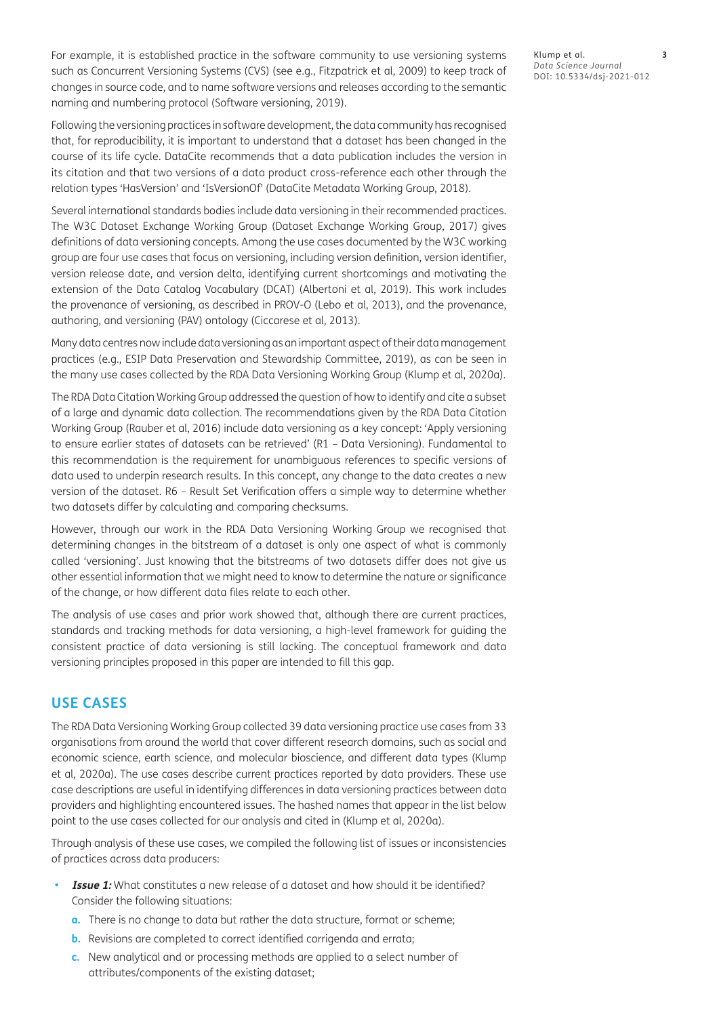For example, it is established practice in the software community to use versioning systems such as Concurrent Versioning Systems (CVS) (see e.g., Fitzpatrick et al, 2009) to keep track of changes in source code, and to name software versions and releases according to the semantic naming and numbering protocol (Software versioning, 2019).

Following the versioning practices in software development, the data community has recognised that, for reproducibility, it is important to understand that a dataset has been changed in the course of its life cycle. DataCite recommends that a data publication includes the version in its citation and that two versions of a data product cross-reference each other through the relation types 'HasVersion' and 'IsVersionOf' (DataCite Metadata Working Group, 2018).

Several international standards bodies include data versioning in their recommended practices. The W3C Dataset Exchange Working Group (Dataset Exchange Working Group, 2017) gives definitions of data versioning concepts. Among the use cases documented by the W3C working group are four use cases that focus on versioning, including version definition, version identifier, version release date, and version delta, identifying current shortcomings and motivating the extension of the Data Catalog Vocabulary (DCAT) (Albertoni et al, 2019). This work includes the provenance of versioning, as described in PROV-O (Lebo et al, 2013), and the provenance, authoring, and versioning (PAV) ontology (Ciccarese et al, 2013).

Many data centres now include data versioning as an important aspect of their data management practices (e.g., ESIP Data Preservation and Stewardship Committee, 2019), as can be seen in the many use cases collected by the RDA Data Versioning Working Group (Klump et al, 2020a).

The RDA Data Citation Working Group addressed the question of how to identify and cite a subset of a large and dynamic data collection. The recommendations given by the RDA Data Citation Working Group (Rauber et al, 2016) include data versioning as a key concept: 'Apply versioning to ensure earlier states of datasets can be retrieved' (R1 – Data Versioning). Fundamental to this recommendation is the requirement for unambiguous references to specific versions of data used to underpin research results. In this concept, any change to the data creates a new version of the dataset. R6 – Result Set Verification offers a simple way to determine whether two datasets differ by calculating and comparing checksums.

However, through our work in the RDA Data Versioning Working Group we recognised that determining changes in the bitstream of a dataset is only one aspect of what is commonly called 'versioning'. Just knowing that the bitstreams of two datasets differ does not give us other essential information that we might need to know to determine the nature or significance of the change, or how different data files relate to each other.

The analysis of use cases and prior work showed that, although there are current practices, standards and tracking methods for data versioning, a high-level framework for guiding the consistent practice of data versioning is still lacking. The conceptual framework and data versioning principles proposed in this paper are intended to fill this gap.

# **USE CASES**

The RDA Data Versioning Working Group collected 39 data versioning practice use cases from 33 organisations from around the world that cover different research domains, such as social and economic science, earth science, and molecular bioscience, and different data types (Klump et al, 2020a). The use cases describe current practices reported by data providers. These use case descriptions are useful in identifying differences in data versioning practices between data providers and highlighting encountered issues. The hashed names that appear in the list below point to the use cases collected for our analysis and cited in (Klump et al, 2020a).

Through analysis of these use cases, we compiled the following list of issues or inconsistencies of practices across data producers:

- **Issue 1:** What constitutes a new release of a dataset and how should it be identified? Consider the following situations:
	- **a.** There is no change to data but rather the data structure, format or scheme;
	- **b.** Revisions are completed to correct identified corrigenda and errata;
	- **c.** New analytical and or processing methods are applied to a select number of attributes/components of the existing dataset;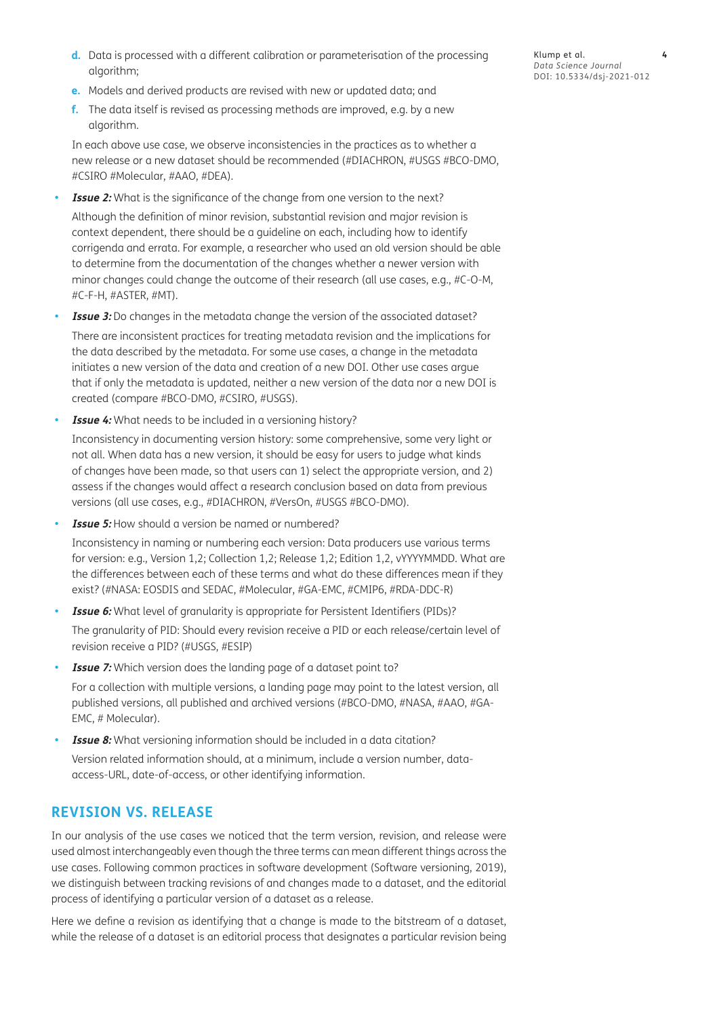- **d.** Data is processed with a different calibration or parameterisation of the processing algorithm;
- **e.** Models and derived products are revised with new or updated data; and
- **f.** The data itself is revised as processing methods are improved, e.g. by a new algorithm.

In each above use case, we observe inconsistencies in the practices as to whether a new release or a new dataset should be recommended (#DIACHRON, #USGS #BCO-DMO, #CSIRO #Molecular, #AAO, #DEA).

**Issue 2:** What is the significance of the change from one version to the next?

Although the definition of minor revision, substantial revision and major revision is context dependent, there should be a guideline on each, including how to identify corrigenda and errata. For example, a researcher who used an old version should be able to determine from the documentation of the changes whether a newer version with minor changes could change the outcome of their research (all use cases, e.g., #C-O-M, #C-F-H, #ASTER, #MT).

- **Issue 3:** Do changes in the metadata change the version of the associated dataset? There are inconsistent practices for treating metadata revision and the implications for the data described by the metadata. For some use cases, a change in the metadata initiates a new version of the data and creation of a new DOI. Other use cases argue that if only the metadata is updated, neither a new version of the data nor a new DOI is created (compare #BCO-DMO, #CSIRO, #USGS).
- **Issue 4:** What needs to be included in a versioning history?

Inconsistency in documenting version history: some comprehensive, some very light or not all. When data has a new version, it should be easy for users to judge what kinds of changes have been made, so that users can 1) select the appropriate version, and 2) assess if the changes would affect a research conclusion based on data from previous versions (all use cases, e.g., #DIACHRON, #VersOn, #USGS #BCO-DMO).

**Issue 5:** How should a version be named or numbered?

Inconsistency in naming or numbering each version: Data producers use various terms for version: e.g., Version 1,2; Collection 1,2; Release 1,2; Edition 1,2, vYYYYMMDD. What are the differences between each of these terms and what do these differences mean if they exist? (#NASA: EOSDIS and SEDAC, #Molecular, #GA-EMC, #CMIP6, #RDA-DDC-R)

- **Issue 6:** What level of granularity is appropriate for Persistent Identifiers (PIDs)? The granularity of PID: Should every revision receive a PID or each release/certain level of revision receive a PID? (#USGS, #ESIP)
- **Issue 7:** Which version does the landing page of a dataset point to?

For a collection with multiple versions, a landing page may point to the latest version, all published versions, all published and archived versions (#BCO-DMO, #NASA, #AAO, #GA-EMC, # Molecular).

**Issue 8:** What versioning information should be included in a data citation?

Version related information should, at a minimum, include a version number, dataaccess-URL, date-of-access, or other identifying information.

# **REVISION VS. RELEASE**

In our analysis of the use cases we noticed that the term version, revision, and release were used almost interchangeably even though the three terms can mean different things across the use cases. Following common practices in software development (Software versioning, 2019), we distinguish between tracking revisions of and changes made to a dataset, and the editorial process of identifying a particular version of a dataset as a release.

Here we define a revision as identifying that a change is made to the bitstream of a dataset, while the release of a dataset is an editorial process that designates a particular revision being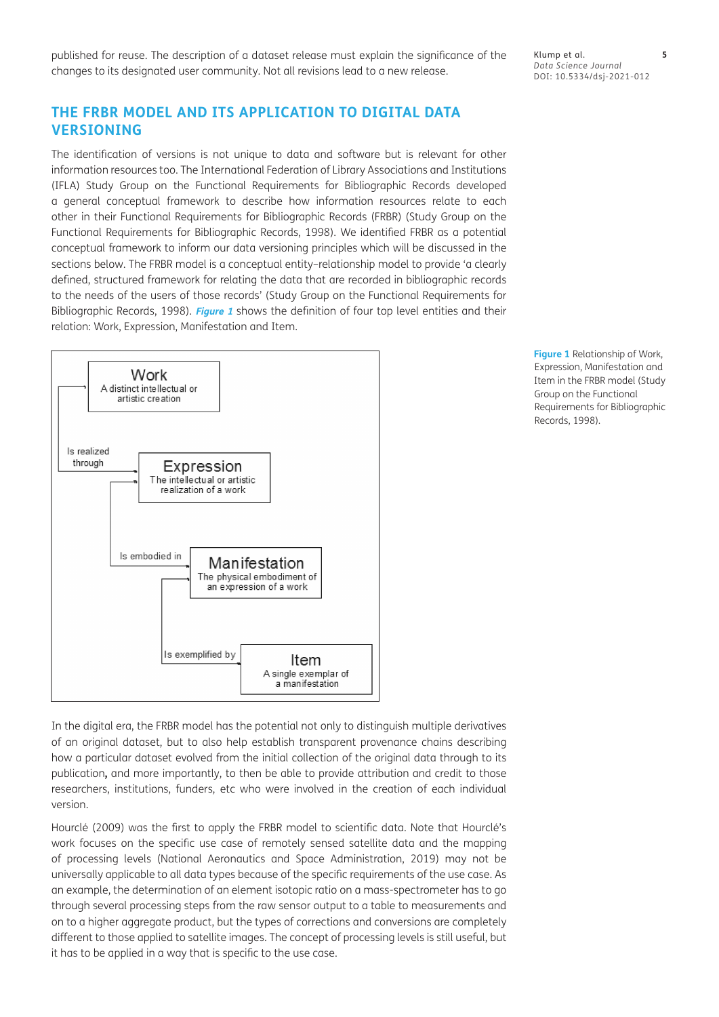published for reuse. The description of a dataset release must explain the significance of the changes to its designated user community. Not all revisions lead to a new release.

Klump et al. **5** *Data Science Journal* DOI: 10.5334/dsj-2021-012

# **THE FRBR MODEL AND ITS APPLICATION TO DIGITAL DATA VERSIONING**

The identification of versions is not unique to data and software but is relevant for other information resources too. The International Federation of Library Associations and Institutions (IFLA) Study Group on the Functional Requirements for Bibliographic Records developed a general conceptual framework to describe how information resources relate to each other in their Functional Requirements for Bibliographic Records (FRBR) (Study Group on the Functional Requirements for Bibliographic Records, 1998). We identified FRBR as a potential conceptual framework to inform our data versioning principles which will be discussed in the sections below. The FRBR model is a conceptual entity–relationship model to provide 'a clearly defined, structured framework for relating the data that are recorded in bibliographic records to the needs of the users of those records' (Study Group on the Functional Requirements for Bibliographic Records, 1998). **[Figure 1](#page-4-0)** shows the definition of four top level entities and their relation: Work, Expression, Manifestation and Item.



<span id="page-4-0"></span>**Figure 1** Relationship of Work, Expression, Manifestation and Item in the FRBR model (Study Group on the Functional Requirements for Bibliographic Records, 1998).

In the digital era, the FRBR model has the potential not only to distinguish multiple derivatives of an original dataset, but to also help establish transparent provenance chains describing how a particular dataset evolved from the initial collection of the original data through to its publication**,** and more importantly, to then be able to provide attribution and credit to those researchers, institutions, funders, etc who were involved in the creation of each individual version.

Hourclé (2009) was the first to apply the FRBR model to scientific data. Note that Hourclé's work focuses on the specific use case of remotely sensed satellite data and the mapping of processing levels (National Aeronautics and Space Administration, 2019) may not be universally applicable to all data types because of the specific requirements of the use case. As an example, the determination of an element isotopic ratio on a mass-spectrometer has to go through several processing steps from the raw sensor output to a table to measurements and on to a higher aggregate product, but the types of corrections and conversions are completely different to those applied to satellite images. The concept of processing levels is still useful, but it has to be applied in a way that is specific to the use case.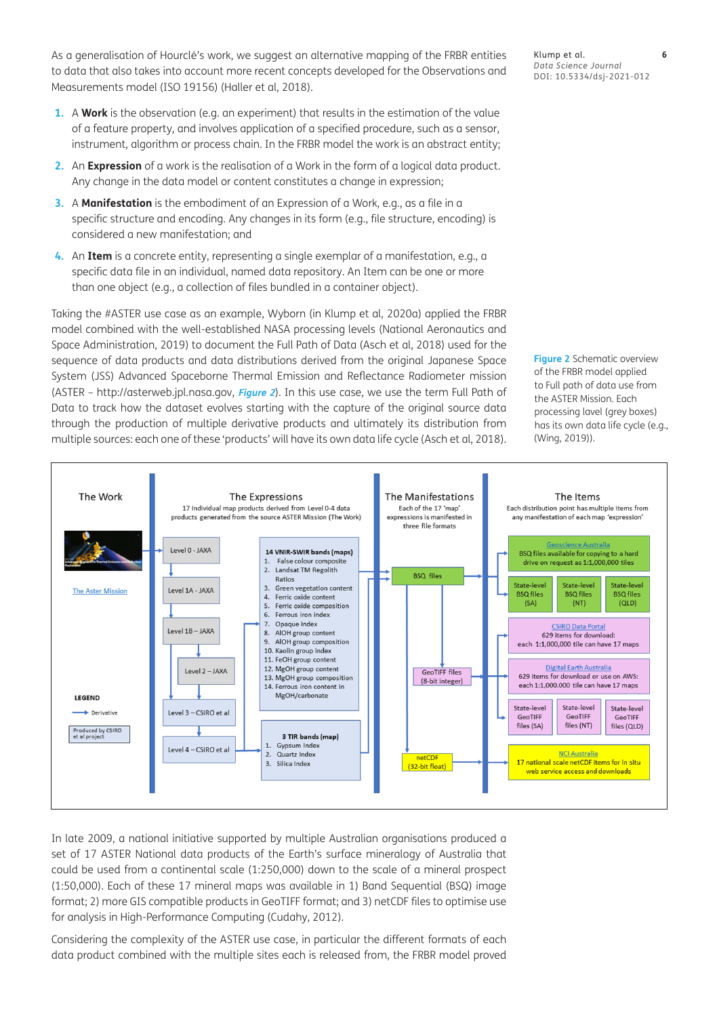As a generalisation of Hourclé's work, we suggest an alternative mapping of the FRBR entities to data that also takes into account more recent concepts developed for the Observations and Measurements model (ISO 19156) (Haller et al, 2018).

- **1.** A **Work** is the observation (e.g. an experiment) that results in the estimation of the value of a feature property, and involves application of a specified procedure, such as a sensor, instrument, algorithm or process chain. In the FRBR model the work is an abstract entity;
- **2.** An **Expression** of a work is the realisation of a Work in the form of a logical data product. Any change in the data model or content constitutes a change in expression;
- **3.** A **Manifestation** is the embodiment of an Expression of a Work, e.g., as a file in a specific structure and encoding. Any changes in its form (e.g., file structure, encoding) is considered a new manifestation; and
- **4.** An **Item** is a concrete entity, representing a single exemplar of a manifestation, e.g., a specific data file in an individual, named data repository. An Item can be one or more than one object (e.g., a collection of files bundled in a container object).

Taking the #ASTER use case as an example, Wyborn (in Klump et al, 2020a) applied the FRBR model combined with the well-established NASA processing levels (National Aeronautics and Space Administration, 2019) to document the Full Path of Data (Asch et al, 2018) used for the sequence of data products and data distributions derived from the original Japanese Space System (JSS) Advanced Spaceborne Thermal Emission and Reflectance Radiometer mission (ASTER – http://asterweb.jpl.nasa.gov, **[Figure 2](#page-5-0)**). In this use case, we use the term Full Path of Data to track how the dataset evolves starting with the capture of the original source data through the production of multiple derivative products and ultimately its distribution from multiple sources: each one of these 'products' will have its own data life cycle (Asch et al, 2018).



In late 2009, a national initiative supported by multiple Australian organisations produced a set of 17 ASTER National data products of the Earth's surface mineralogy of Australia that could be used from a continental scale (1:250,000) down to the scale of a mineral prospect (1:50,000). Each of these 17 mineral maps was available in 1) Band Sequential (BSQ) image format; 2) more GIS compatible products in GeoTIFF format; and 3) netCDF files to optimise use for analysis in High-Performance Computing (Cudahy, 2012).

Considering the complexity of the ASTER use case, in particular the different formats of each data product combined with the multiple sites each is released from, the FRBR model proved Klump et al. **6** *Data Science Journal* DOI: 10.5334/dsj-2021-012

<span id="page-5-0"></span>**Figure 2** Schematic overview of the FRBR model applied to Full path of data use from the ASTER Mission. Each processing lavel (grey boxes) has its own data life cycle (e.g., (Wing, 2019)).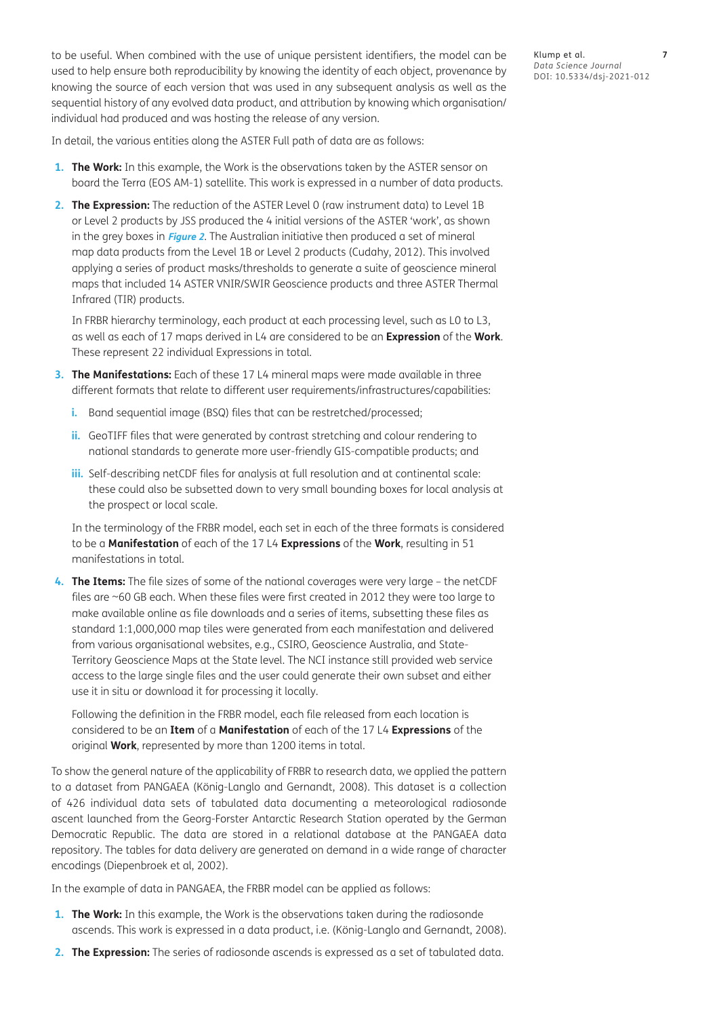to be useful. When combined with the use of unique persistent identifiers, the model can be used to help ensure both reproducibility by knowing the identity of each object, provenance by knowing the source of each version that was used in any subsequent analysis as well as the sequential history of any evolved data product, and attribution by knowing which organisation/ individual had produced and was hosting the release of any version.

In detail, the various entities along the ASTER Full path of data are as follows:

- **1. The Work:** In this example, the Work is the observations taken by the ASTER sensor on board the Terra (EOS AM-1) satellite. This work is expressed in a number of data products.
- **2. The Expression:** The reduction of the ASTER Level 0 (raw instrument data) to Level 1B or Level 2 products by JSS produced the 4 initial versions of the ASTER 'work', as shown in the grey boxes in **[Figure 2](#page-5-0)**. The Australian initiative then produced a set of mineral map data products from the Level 1B or Level 2 products (Cudahy, 2012). This involved applying a series of product masks/thresholds to generate a suite of geoscience mineral maps that included 14 ASTER VNIR/SWIR Geoscience products and three ASTER Thermal Infrared (TIR) products.

In FRBR hierarchy terminology, each product at each processing level, such as L0 to L3, as well as each of 17 maps derived in L4 are considered to be an **Expression** of the **Work**. These represent 22 individual Expressions in total.

- **3. The Manifestations:** Each of these 17 L4 mineral maps were made available in three different formats that relate to different user requirements/infrastructures/capabilities:
	- **i.** Band sequential image (BSQ) files that can be restretched/processed;
	- **ii.** GeoTIFF files that were generated by contrast stretching and colour rendering to national standards to generate more user-friendly GIS-compatible products; and
	- **iii.** Self-describing netCDF files for analysis at full resolution and at continental scale: these could also be subsetted down to very small bounding boxes for local analysis at the prospect or local scale.

In the terminology of the FRBR model, each set in each of the three formats is considered to be a **Manifestation** of each of the 17 L4 **Expressions** of the **Work**, resulting in 51 manifestations in total.

**4. The Items:** The file sizes of some of the national coverages were very large – the netCDF files are ~60 GB each. When these files were first created in 2012 they were too large to make available online as file downloads and a series of items, subsetting these files as standard 1:1,000,000 map tiles were generated from each manifestation and delivered from various organisational websites, e.g., CSIRO, Geoscience Australia, and State-Territory Geoscience Maps at the State level. The NCI instance still provided web service access to the large single files and the user could generate their own subset and either use it in situ or download it for processing it locally.

Following the definition in the FRBR model, each file released from each location is considered to be an **Item** of a **Manifestation** of each of the 17 L4 **Expressions** of the original **Work**, represented by more than 1200 items in total.

To show the general nature of the applicability of FRBR to research data, we applied the pattern to a dataset from PANGAEA (König-Langlo and Gernandt, 2008). This dataset is a collection of 426 individual data sets of tabulated data documenting a meteorological radiosonde ascent launched from the Georg-Forster Antarctic Research Station operated by the German Democratic Republic. The data are stored in a relational database at the PANGAEA data repository. The tables for data delivery are generated on demand in a wide range of character encodings (Diepenbroek et al, 2002).

In the example of data in PANGAEA, the FRBR model can be applied as follows:

- **1. The Work:** In this example, the Work is the observations taken during the radiosonde ascends. This work is expressed in a data product, i.e. (König-Langlo and Gernandt, 2008).
- **2. The Expression:** The series of radiosonde ascends is expressed as a set of tabulated data.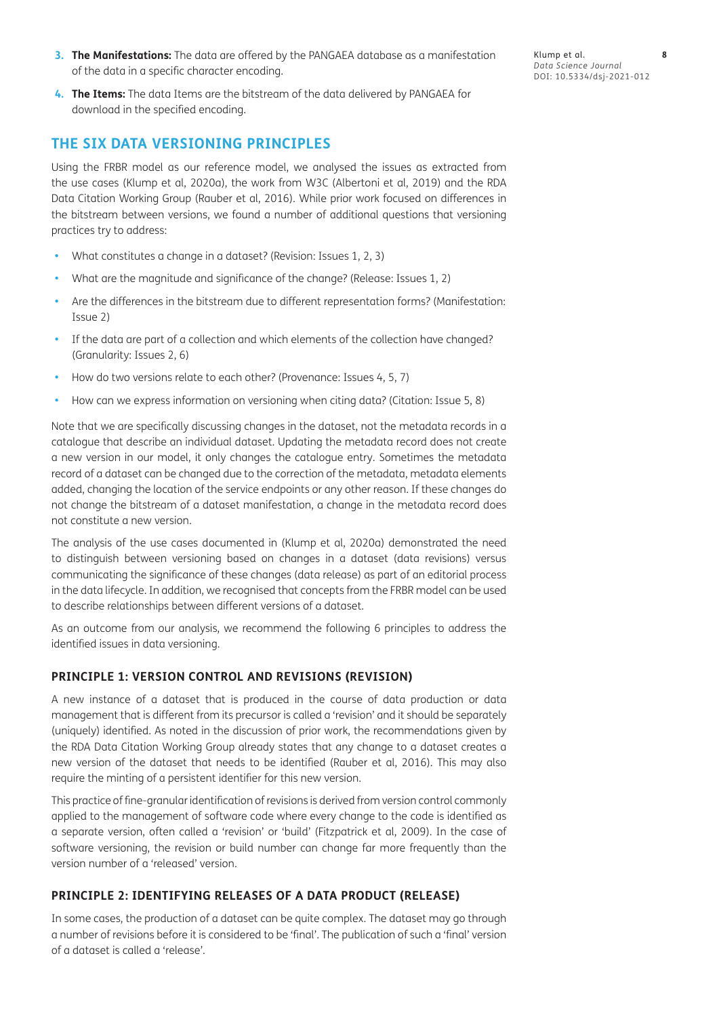- **3. The Manifestations:** The data are offered by the PANGAEA database as a manifestation of the data in a specific character encoding.
- Klump et al. **8** *Data Science Journal* DOI: 10.5334/dsj-2021-012
- **4. The Items:** The data Items are the bitstream of the data delivered by PANGAEA for download in the specified encoding.

#### **THE SIX DATA VERSIONING PRINCIPLES**

Using the FRBR model as our reference model, we analysed the issues as extracted from the use cases (Klump et al, 2020a), the work from W3C (Albertoni et al, 2019) and the RDA Data Citation Working Group (Rauber et al, 2016). While prior work focused on differences in the bitstream between versions, we found a number of additional questions that versioning practices try to address:

- What constitutes a change in a dataset? (Revision: Issues 1, 2, 3)
- **•**  What are the magnitude and significance of the change? (Release: Issues 1, 2)
- Are the differences in the bitstream due to different representation forms? (Manifestation: Issue 2)
- If the data are part of a collection and which elements of the collection have changed? (Granularity: Issues 2, 6)
- **•**  How do two versions relate to each other? (Provenance: Issues 4, 5, 7)
- How can we express information on versioning when citing data? (Citation: Issue 5, 8)

Note that we are specifically discussing changes in the dataset, not the metadata records in a catalogue that describe an individual dataset. Updating the metadata record does not create a new version in our model, it only changes the catalogue entry. Sometimes the metadata record of a dataset can be changed due to the correction of the metadata, metadata elements added, changing the location of the service endpoints or any other reason. If these changes do not change the bitstream of a dataset manifestation, a change in the metadata record does not constitute a new version.

The analysis of the use cases documented in (Klump et al, 2020a) demonstrated the need to distinguish between versioning based on changes in a dataset (data revisions) versus communicating the significance of these changes (data release) as part of an editorial process in the data lifecycle. In addition, we recognised that concepts from the FRBR model can be used to describe relationships between different versions of a dataset.

As an outcome from our analysis, we recommend the following 6 principles to address the identified issues in data versioning.

#### **PRINCIPLE 1: VERSION CONTROL AND REVISIONS (REVISION)**

A new instance of a dataset that is produced in the course of data production or data management that is different from its precursor is called a 'revision' and it should be separately (uniquely) identified. As noted in the discussion of prior work, the recommendations given by the RDA Data Citation Working Group already states that any change to a dataset creates a new version of the dataset that needs to be identified (Rauber et al, 2016). This may also require the minting of a persistent identifier for this new version.

This practice of fine-granular identification of revisions is derived from version control commonly applied to the management of software code where every change to the code is identified as a separate version, often called a 'revision' or 'build' (Fitzpatrick et al, 2009). In the case of software versioning, the revision or build number can change far more frequently than the version number of a 'released' version.

#### **PRINCIPLE 2: IDENTIFYING RELEASES OF A DATA PRODUCT (RELEASE)**

In some cases, the production of a dataset can be quite complex. The dataset may go through a number of revisions before it is considered to be 'final'. The publication of such a 'final' version of a dataset is called a 'release'.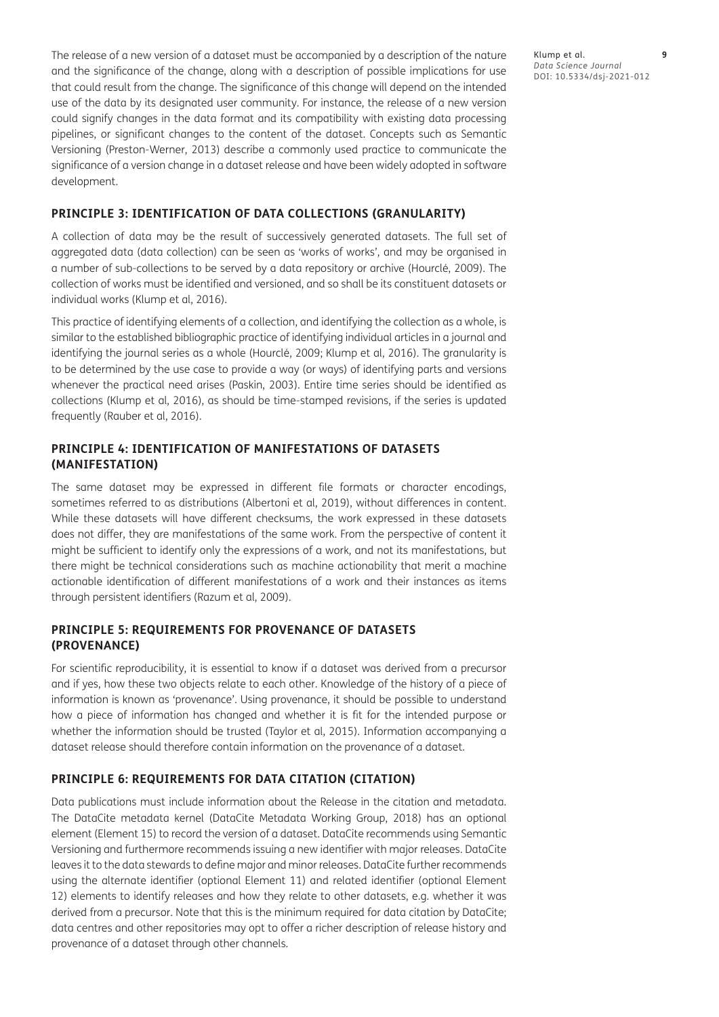The release of a new version of a dataset must be accompanied by a description of the nature and the significance of the change, along with a description of possible implications for use that could result from the change. The significance of this change will depend on the intended use of the data by its designated user community. For instance, the release of a new version could signify changes in the data format and its compatibility with existing data processing pipelines, or significant changes to the content of the dataset. Concepts such as Semantic Versioning (Preston-Werner, 2013) describe a commonly used practice to communicate the significance of a version change in a dataset release and have been widely adopted in software development.

#### **PRINCIPLE 3: IDENTIFICATION OF DATA COLLECTIONS (GRANULARITY)**

A collection of data may be the result of successively generated datasets. The full set of aggregated data (data collection) can be seen as 'works of works', and may be organised in a number of sub-collections to be served by a data repository or archive (Hourclé, 2009). The collection of works must be identified and versioned, and so shall be its constituent datasets or individual works (Klump et al, 2016).

This practice of identifying elements of a collection, and identifying the collection as a whole, is similar to the established bibliographic practice of identifying individual articles in a journal and identifying the journal series as a whole (Hourclé, 2009; Klump et al, 2016). The granularity is to be determined by the use case to provide a way (or ways) of identifying parts and versions whenever the practical need arises (Paskin, 2003). Entire time series should be identified as collections (Klump et al, 2016), as should be time-stamped revisions, if the series is updated frequently (Rauber et al, 2016).

#### **PRINCIPLE 4: IDENTIFICATION OF MANIFESTATIONS OF DATASETS (MANIFESTATION)**

The same dataset may be expressed in different file formats or character encodings, sometimes referred to as distributions (Albertoni et al, 2019), without differences in content. While these datasets will have different checksums, the work expressed in these datasets does not differ, they are manifestations of the same work. From the perspective of content it might be sufficient to identify only the expressions of a work, and not its manifestations, but there might be technical considerations such as machine actionability that merit a machine actionable identification of different manifestations of a work and their instances as items through persistent identifiers (Razum et al, 2009).

#### **PRINCIPLE 5: REQUIREMENTS FOR PROVENANCE OF DATASETS (PROVENANCE)**

For scientific reproducibility, it is essential to know if a dataset was derived from a precursor and if yes, how these two objects relate to each other. Knowledge of the history of a piece of information is known as 'provenance'. Using provenance, it should be possible to understand how a piece of information has changed and whether it is fit for the intended purpose or whether the information should be trusted (Taylor et al, 2015). Information accompanying a dataset release should therefore contain information on the provenance of a dataset.

#### **PRINCIPLE 6: REQUIREMENTS FOR DATA CITATION (CITATION)**

Data publications must include information about the Release in the citation and metadata. The DataCite metadata kernel (DataCite Metadata Working Group, 2018) has an optional element (Element 15) to record the version of a dataset. DataCite recommends using Semantic Versioning and furthermore recommends issuing a new identifier with major releases. DataCite leaves it to the data stewards to define major and minor releases. DataCite further recommends using the alternate identifier (optional Element 11) and related identifier (optional Element 12) elements to identify releases and how they relate to other datasets, e.g. whether it was derived from a precursor. Note that this is the minimum required for data citation by DataCite; data centres and other repositories may opt to offer a richer description of release history and provenance of a dataset through other channels.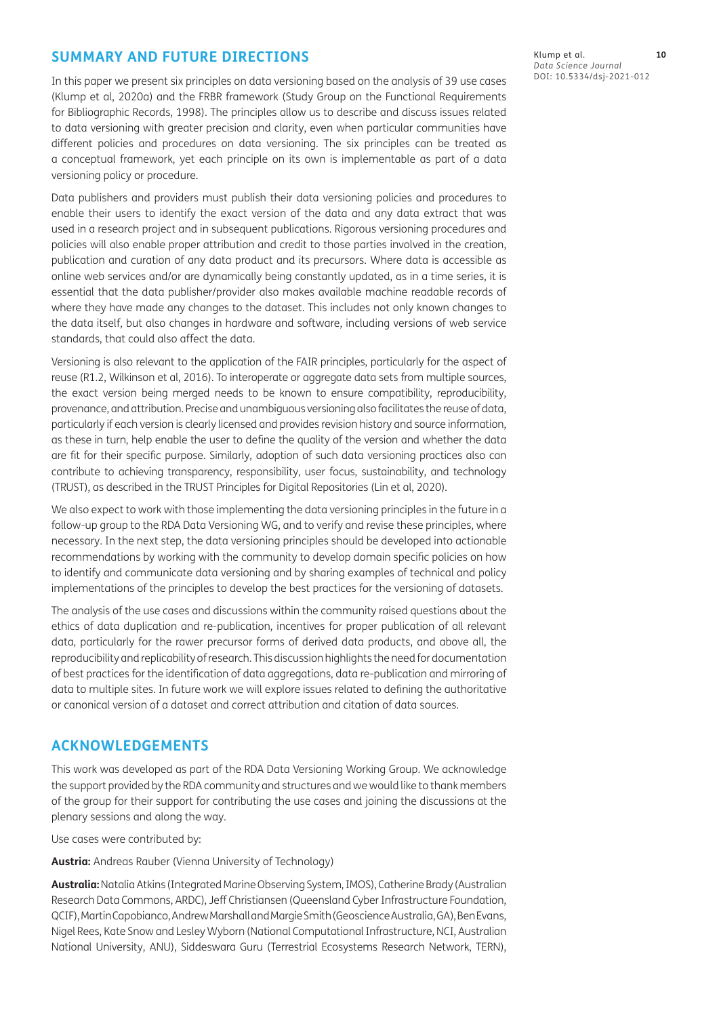# **SUMMARY AND FUTURE DIRECTIONS**

In this paper we present six principles on data versioning based on the analysis of 39 use cases (Klump et al, 2020a) and the FRBR framework (Study Group on the Functional Requirements for Bibliographic Records, 1998). The principles allow us to describe and discuss issues related to data versioning with greater precision and clarity, even when particular communities have different policies and procedures on data versioning. The six principles can be treated as a conceptual framework, yet each principle on its own is implementable as part of a data versioning policy or procedure.

Data publishers and providers must publish their data versioning policies and procedures to enable their users to identify the exact version of the data and any data extract that was used in a research project and in subsequent publications. Rigorous versioning procedures and policies will also enable proper attribution and credit to those parties involved in the creation, publication and curation of any data product and its precursors. Where data is accessible as online web services and/or are dynamically being constantly updated, as in a time series, it is essential that the data publisher/provider also makes available machine readable records of where they have made any changes to the dataset. This includes not only known changes to the data itself, but also changes in hardware and software, including versions of web service standards, that could also affect the data.

Versioning is also relevant to the application of the FAIR principles, particularly for the aspect of reuse (R1.2, Wilkinson et al, 2016). To interoperate or aggregate data sets from multiple sources, the exact version being merged needs to be known to ensure compatibility, reproducibility, provenance, and attribution. Precise and unambiguous versioning also facilitates the reuse of data, particularly if each version is clearly licensed and provides revision history and source information, as these in turn, help enable the user to define the quality of the version and whether the data are fit for their specific purpose. Similarly, adoption of such data versioning practices also can contribute to achieving transparency, responsibility, user focus, sustainability, and technology (TRUST), as described in the TRUST Principles for Digital Repositories (Lin et al, 2020).

We also expect to work with those implementing the data versioning principles in the future in a follow-up group to the RDA Data Versioning WG, and to verify and revise these principles, where necessary. In the next step, the data versioning principles should be developed into actionable recommendations by working with the community to develop domain specific policies on how to identify and communicate data versioning and by sharing examples of technical and policy implementations of the principles to develop the best practices for the versioning of datasets.

The analysis of the use cases and discussions within the community raised questions about the ethics of data duplication and re-publication, incentives for proper publication of all relevant data, particularly for the rawer precursor forms of derived data products, and above all, the reproducibility and replicability of research. This discussion highlights the need for documentation of best practices for the identification of data aggregations, data re-publication and mirroring of data to multiple sites. In future work we will explore issues related to defining the authoritative or canonical version of a dataset and correct attribution and citation of data sources.

# **ACKNOWLEDGEMENTS**

This work was developed as part of the RDA Data Versioning Working Group. We acknowledge the support provided by the RDA community and structures and we would like to thank members of the group for their support for contributing the use cases and joining the discussions at the plenary sessions and along the way.

Use cases were contributed by:

**Austria:** Andreas Rauber (Vienna University of Technology)

**Australia:** Natalia Atkins (Integrated Marine Observing System, IMOS), Catherine Brady (Australian Research Data Commons, ARDC), Jeff Christiansen (Queensland Cyber Infrastructure Foundation, QCIF), Martin Capobianco, Andrew Marshall and Margie Smith (Geoscience Australia, GA), Ben Evans, Nigel Rees, Kate Snow and Lesley Wyborn (National Computational Infrastructure, NCI, Australian National University, ANU), Siddeswara Guru (Terrestrial Ecosystems Research Network, TERN),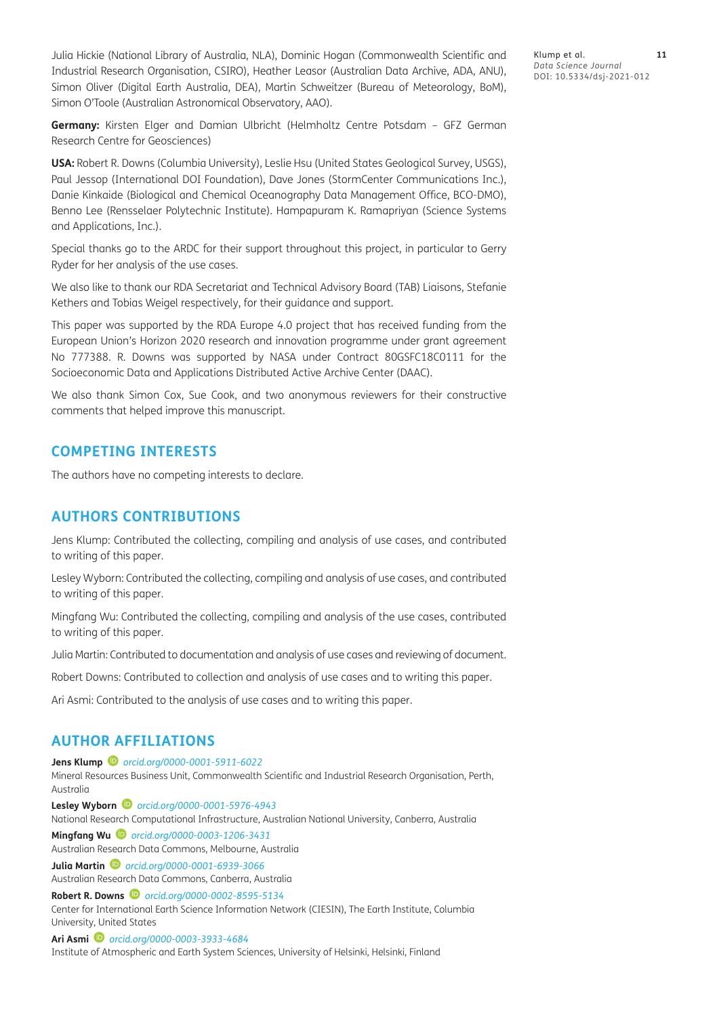Julia Hickie (National Library of Australia, NLA), Dominic Hogan (Commonwealth Scientific and Industrial Research Organisation, CSIRO), Heather Leasor (Australian Data Archive, ADA, ANU), Simon Oliver (Digital Earth Australia, DEA), Martin Schweitzer (Bureau of Meteorology, BoM), Simon O'Toole (Australian Astronomical Observatory, AAO).

Klump et al. **11** *Data Science Journal* DOI: 10.5334/dsj-2021-012

**Germany:** Kirsten Elger and Damian Ulbricht (Helmholtz Centre Potsdam – GFZ German Research Centre for Geosciences)

**USA:** Robert R. Downs (Columbia University), Leslie Hsu (United States Geological Survey, USGS), Paul Jessop (International DOI Foundation), Dave Jones (StormCenter Communications Inc.), Danie Kinkaide (Biological and Chemical Oceanography Data Management Office, BCO-DMO), Benno Lee (Rensselaer Polytechnic Institute). Hampapuram K. Ramapriyan (Science Systems and Applications, Inc.).

Special thanks go to the ARDC for their support throughout this project, in particular to Gerry Ryder for her analysis of the use cases.

We also like to thank our RDA Secretariat and Technical Advisory Board (TAB) Liaisons, Stefanie Kethers and Tobias Weigel respectively, for their guidance and support.

This paper was supported by the RDA Europe 4.0 project that has received funding from the European Union's Horizon 2020 research and innovation programme under grant agreement No 777388. R. Downs was supported by NASA under Contract 80GSFC18C0111 for the Socioeconomic Data and Applications Distributed Active Archive Center (DAAC).

We also thank Simon Cox, Sue Cook, and two anonymous reviewers for their constructive comments that helped improve this manuscript.

#### **COMPETING INTERESTS**

The authors have no competing interests to declare.

# **AUTHORS CONTRIBUTIONS**

Jens Klump: Contributed the collecting, compiling and analysis of use cases, and contributed to writing of this paper.

Lesley Wyborn: Contributed the collecting, compiling and analysis of use cases, and contributed to writing of this paper.

Mingfang Wu: Contributed the collecting, compiling and analysis of the use cases, contributed to writing of this paper.

Julia Martin: Contributed to documentation and analysis of use cases and reviewing of document.

Robert Downs: Contributed to collection and analysis of use cases and to writing this paper.

Ari Asmi: Contributed to the analysis of use cases and to writing this paper.

# <span id="page-10-0"></span>**AUTHOR AFFILIATIONS**

**Jens Klump** *[orcid.org/0000-0001-5911-6022](https://orcid.org/0000-0001-5911-6022)* Mineral Resources Business Unit, Commonwealth Scientific and Industrial Research Organisation, Perth, Australia **Lesley Wyborn** *[orcid.org/0000-0001-5976-4943](https://orcid.org/0000-0001-5976-4943)* National Research Computational Infrastructure, Australian National University, Canberra, Australia **Mingfang Wu** *[orcid.org/0000-0003-1206-3431](https://orcid.org/0000-0003-1206-3431)* Australian Research Data Commons, Melbourne, Australia

**Julia Martin** *[orcid.org/0000-0001-6939-3066](https://orcid.org/0000-0001-6939-3066)*

Australian Research Data Commons, Canberra, Australia

**Robert R. Downs** *D [orcid.org/0000-0002-8595-5134](https://orcid.org/0000-0002-8595-5134)* 

Center for International Earth Science Information Network (CIESIN), The Earth Institute, Columbia University, United States

**Ari Asmi** *[orcid.org/0000-0003-3933-4684](https://orcid.org/0000-0003-3933-4684)*

Institute of Atmospheric and Earth System Sciences, University of Helsinki, Helsinki, Finland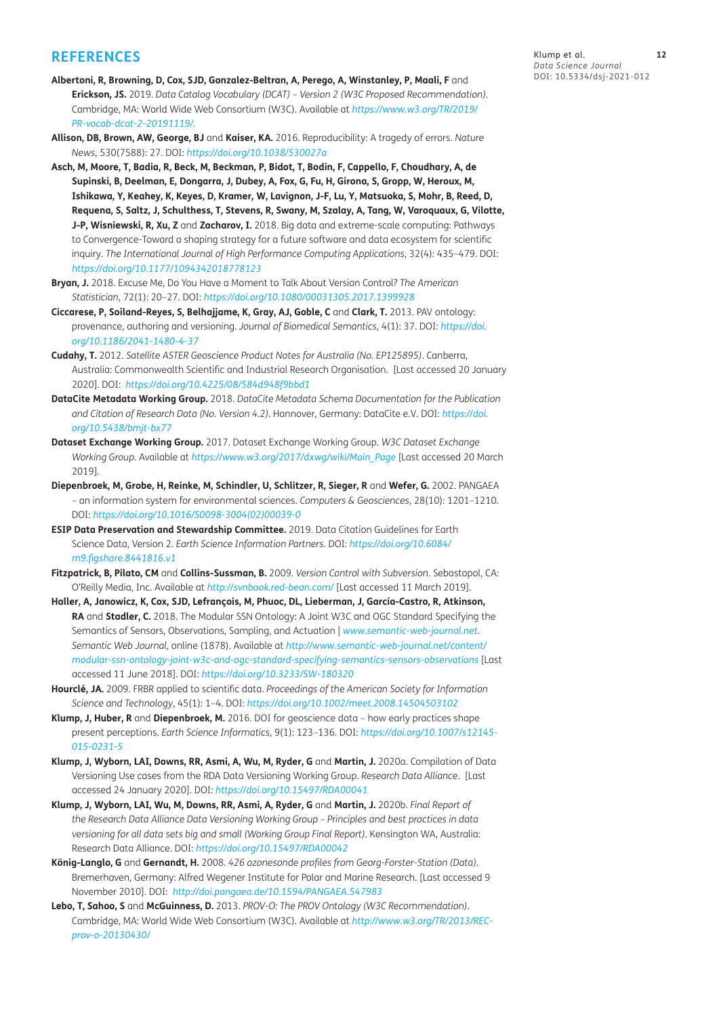#### **REFERENCES**

- **Albertoni, R, Browning, D, Cox, SJD, Gonzalez-Beltran, A, Perego, A, Winstanley, P, Maali, F** and **Erickson, JS.** 2019. *Data Catalog Vocabulary (DCAT) – Version 2 (W3C Proposed Recommendation)*. Cambridge, MA: World Wide Web Consortium (W3C). Available at *[https://www.w3.org/TR/2019/](https://www.w3.org/TR/2019/PR-vocab-dcat-2-20191119/) [PR-vocab-dcat-2-20191119/](https://www.w3.org/TR/2019/PR-vocab-dcat-2-20191119/).*
- **Allison, DB, Brown, AW, George, BJ** and **Kaiser, KA.** 2016. Reproducibility: A tragedy of errors. *Nature News*, 530(7588): 27. DOI: *<https://doi.org/10.1038/530027a>*
- **Asch, M, Moore, T, Badia, R, Beck, M, Beckman, P, Bidot, T, Bodin, F, Cappello, F, Choudhary, A, de Supinski, B, Deelman, E, Dongarra, J, Dubey, A, Fox, G, Fu, H, Girona, S, Gropp, W, Heroux, M, Ishikawa, Y, Keahey, K, Keyes, D, Kramer, W, Lavignon, J-F, Lu, Y, Matsuoka, S, Mohr, B, Reed, D, Requena, S, Saltz, J, Schulthess, T, Stevens, R, Swany, M, Szalay, A, Tang, W, Varoquaux, G, Vilotte, J-P, Wisniewski, R, Xu, Z** and **Zacharov, I.** 2018. Big data and extreme-scale computing: Pathways to Convergence-Toward a shaping strategy for a future software and data ecosystem for scientific inquiry. *The International Journal of High Performance Computing Applications*, 32(4): 435–479. DOI: *<https://doi.org/10.1177/1094342018778123>*
- **Bryan, J.** 2018. Excuse Me, Do You Have a Moment to Talk About Version Control? *The American Statistician*, 72(1): 20–27. DOI: *<https://doi.org/10.1080/00031305.2017.1399928>*
- **Ciccarese, P, Soiland-Reyes, S, Belhajjame, K, Gray, AJ, Goble, C** and **Clark, T.** 2013. PAV ontology: provenance, authoring and versioning. *Journal of Biomedical Semantics*, 4(1): 37. DOI: *[https://doi.](https://doi.org/10.1186/2041-1480-4-37) [org/10.1186/2041-1480-4-37](https://doi.org/10.1186/2041-1480-4-37)*
- **Cudahy, T.** 2012. *Satellite ASTER Geoscience Product Notes for Australia (No. EP125895)*. Canberra, Australia: Commonwealth Scientific and Industrial Research Organisation. [Last accessed 20 January 2020]. DOI: *<https://doi.org/10.4225/08/584d948f9bbd1>*
- **DataCite Metadata Working Group.** 2018. *DataCite Metadata Schema Documentation for the Publication and Citation of Research Data (No. Version 4.2)*. Hannover, Germany: DataCite e.V. DOI: *[https://doi.](https://doi.org/10.5438/bmjt-bx77) [org/10.5438/bmjt-bx77](https://doi.org/10.5438/bmjt-bx77)*
- **Dataset Exchange Working Group.** 2017. Dataset Exchange Working Group. *W3C Dataset Exchange Working Group*. Available at *[https://www.w3.org/2017/dxwg/wiki/Main\\_Page](https://www.w3.org/2017/dxwg/wiki/Main_Page)* [Last accessed 20 March 2019].
- **Diepenbroek, M, Grobe, H, Reinke, M, Schindler, U, Schlitzer, R, Sieger, R** and **Wefer, G.** 2002. PANGAEA – an information system for environmental sciences. *Computers & Geosciences*, 28(10): 1201–1210. DOI: *[https://doi.org/10.1016/S0098-3004\(02\)00039-0](https://doi.org/10.1016/S0098-3004(02)00039-0)*
- **ESIP Data Preservation and Stewardship Committee.** 2019. Data Citation Guidelines for Earth Science Data, Version 2. *Earth Science Information Partners*. DOI: *[https://doi.org/10.6084/](https://doi.org/10.6084/m9.figshare.8441816.v1) [m9.figshare.8441816.v1](https://doi.org/10.6084/m9.figshare.8441816.v1)*
- **Fitzpatrick, B, Pilato, CM** and **Collins-Sussman, B.** 2009. *Version Control with Subversion*. Sebastopol, CA: O'Reilly Media, Inc. Available at *<http://svnbook.red-bean.com/>* [Last accessed 11 March 2019].
- **Haller, A, Janowicz, K, Cox, SJD, Lefrançois, M, Phuoc, DL, Lieberman, J, García-Castro, R, Atkinson, RA** and **Stadler, C.** 2018. The Modular SSN Ontology: A Joint W3C and OGC Standard Specifying the Semantics of Sensors, Observations, Sampling, and Actuation | *<www.semantic-web-journal.net>*. *Semantic Web Journal*, online (1878). Available at *[http://www.semantic-web-journal.net/content/](http://www.semantic-web-journal.net/content/modular-ssn-ontology-joint-w3c-and-ogc-standard-specifying-semantics-sensors-observations) [modular-ssn-ontology-joint-w3c-and-ogc-standard-specifying-semantics-sensors-observations](http://www.semantic-web-journal.net/content/modular-ssn-ontology-joint-w3c-and-ogc-standard-specifying-semantics-sensors-observations)* [Last accessed 11 June 2018]. DOI: *<https://doi.org/10.3233/SW-180320>*
- **Hourclé, JA.** 2009. FRBR applied to scientific data. *Proceedings of the American Society for Information Science and Technology*, 45(1): 1–4. DOI: *<https://doi.org/10.1002/meet.2008.14504503102>*
- **Klump, J, Huber, R** and **Diepenbroek, M.** 2016. DOI for geoscience data how early practices shape present perceptions. *Earth Science Informatics*, 9(1): 123–136. DOI: *[https://doi.org/10.1007/s12145-](https://doi.org/10.1007/s12145-015-0231-5) [015-0231-5](https://doi.org/10.1007/s12145-015-0231-5)*
- **Klump, J, Wyborn, LAI, Downs, RR, Asmi, A, Wu, M, Ryder, G** and **Martin, J.** 2020a. Compilation of Data Versioning Use cases from the RDA Data Versioning Working Group. *Research Data Alliance*. [Last accessed 24 January 2020]. DOI: *<https://doi.org/10.15497/RDA00041>*
- **Klump, J, Wyborn, LAI, Wu, M, Downs, RR, Asmi, A, Ryder, G** and **Martin, J.** 2020b. *Final Report of the Research Data Alliance Data Versioning Working Group – Principles and best practices in data versioning for all data sets big and small (Working Group Final Report)*. Kensington WA, Australia: Research Data Alliance. DOI: *<https://doi.org/10.15497/RDA00042>*
- **König-Langlo, G** and **Gernandt, H.** 2008. *426 ozonesonde profiles from Georg-Forster-Station (Data)*. Bremerhaven, Germany: Alfred Wegener Institute for Polar and Marine Research. [Last accessed 9 November 2010]. DOI: *<http://doi.pangaea.de/10.1594/PANGAEA.547983>*
- **Lebo, T, Sahoo, S** and **McGuinness, D.** 2013. *PROV-O: The PROV Ontology (W3C Recommendation)*. Cambridge, MA: World Wide Web Consortium (W3C). Available at *[http://www.w3.org/TR/2013/REC](http://www.w3.org/TR/2013/REC-prov-o-20130430/)[prov-o-20130430/](http://www.w3.org/TR/2013/REC-prov-o-20130430/)*